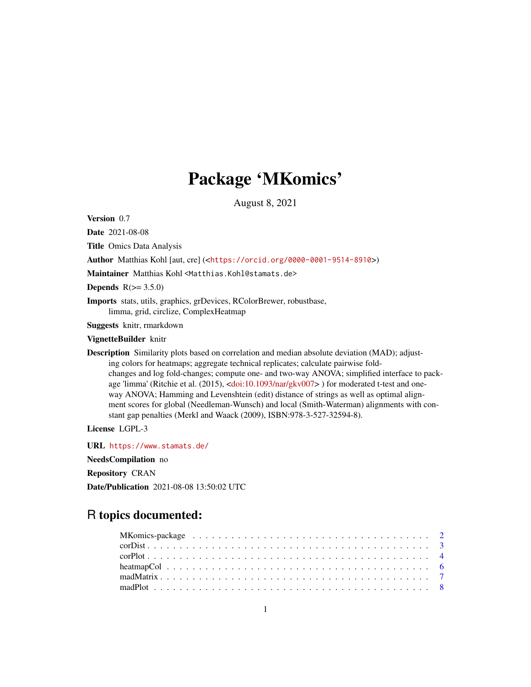# Package 'MKomics'

August 8, 2021

<span id="page-0-0"></span>Version 0.7

Date 2021-08-08

Title Omics Data Analysis

Author Matthias Kohl [aut, cre] (<<https://orcid.org/0000-0001-9514-8910>>)

Maintainer Matthias Kohl <Matthias.Kohl@stamats.de>

Depends  $R(>= 3.5.0)$ 

Imports stats, utils, graphics, grDevices, RColorBrewer, robustbase, limma, grid, circlize, ComplexHeatmap

Suggests knitr, rmarkdown

# VignetteBuilder knitr

Description Similarity plots based on correlation and median absolute deviation (MAD); adjusting colors for heatmaps; aggregate technical replicates; calculate pairwise foldchanges and log fold-changes; compute one- and two-way ANOVA; simplified interface to pack-age 'limma' (Ritchie et al. (2015), [<doi:10.1093/nar/gkv007>](https://doi.org/10.1093/nar/gkv007)) for moderated t-test and oneway ANOVA; Hamming and Levenshtein (edit) distance of strings as well as optimal alignment scores for global (Needleman-Wunsch) and local (Smith-Waterman) alignments with constant gap penalties (Merkl and Waack (2009), ISBN:978-3-527-32594-8).

License LGPL-3

URL <https://www.stamats.de/>

NeedsCompilation no

Repository CRAN

Date/Publication 2021-08-08 13:50:02 UTC

# R topics documented: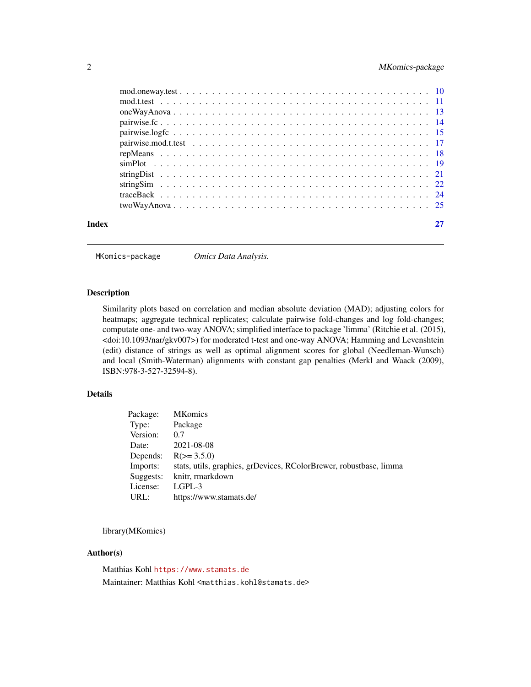# <span id="page-1-0"></span>2 MKomics-package

| Index | 27 |
|-------|----|
|       |    |

MKomics-package *Omics Data Analysis.*

#### Description

Similarity plots based on correlation and median absolute deviation (MAD); adjusting colors for heatmaps; aggregate technical replicates; calculate pairwise fold-changes and log fold-changes; computate one- and two-way ANOVA; simplified interface to package 'limma' (Ritchie et al. (2015), <doi:10.1093/nar/gkv007>) for moderated t-test and one-way ANOVA; Hamming and Levenshtein (edit) distance of strings as well as optimal alignment scores for global (Needleman-Wunsch) and local (Smith-Waterman) alignments with constant gap penalties (Merkl and Waack (2009), ISBN:978-3-527-32594-8).

#### Details

| Package:  | <b>MKomics</b>                                                     |
|-----------|--------------------------------------------------------------------|
| Type:     | Package                                                            |
| Version:  | 0.7                                                                |
| Date:     | 2021-08-08                                                         |
| Depends:  | $R(>= 3.5.0)$                                                      |
| Imports:  | stats, utils, graphics, grDevices, RColorBrewer, robustbase, limma |
| Suggests: | knitr, rmarkdown                                                   |
| License:  | $L$ GPL-3                                                          |
| URL:      | https://www.stamats.de/                                            |

library(MKomics)

#### Author(s)

Matthias Kohl <https://www.stamats.de> Maintainer: Matthias Kohl <matthias.kohl@stamats.de>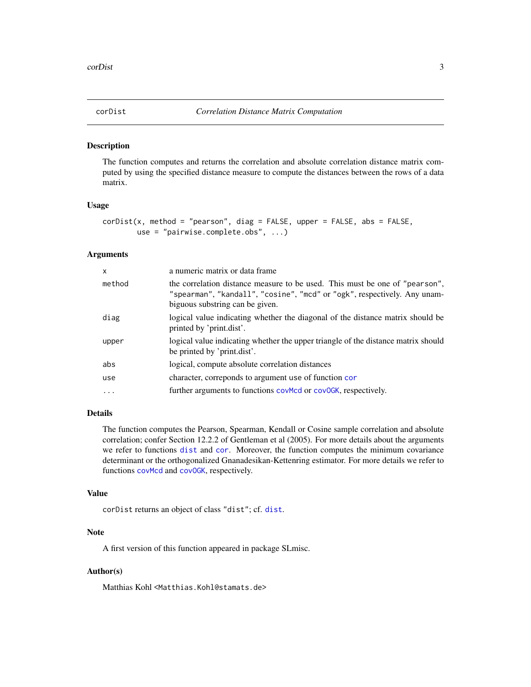<span id="page-2-0"></span>

#### Description

The function computes and returns the correlation and absolute correlation distance matrix computed by using the specified distance measure to compute the distances between the rows of a data matrix.

#### Usage

```
corDist(x, method = "pearson", diag = FALSE, upper = FALSE, abs = FALSE,use = "pairwise.complete.obs", ...)
```
#### Arguments

| $\mathsf{x}$ | a numeric matrix or data frame                                                                                                                                                             |
|--------------|--------------------------------------------------------------------------------------------------------------------------------------------------------------------------------------------|
| method       | the correlation distance measure to be used. This must be one of "pearson",<br>"spearman", "kandall", "cosine", "mcd" or "ogk", respectively. Any unam-<br>biguous substring can be given. |
| diag         | logical value indicating whether the diagonal of the distance matrix should be<br>printed by 'print.dist'.                                                                                 |
| upper        | logical value indicating whether the upper triangle of the distance matrix should<br>be printed by 'print.dist'.                                                                           |
| abs          | logical, compute absolute correlation distances                                                                                                                                            |
| use          | character, correponds to argument use of function cor                                                                                                                                      |
| $\ddotsc$    | further arguments to functions covmed or covock, respectively.                                                                                                                             |

# Details

The function computes the Pearson, Spearman, Kendall or Cosine sample correlation and absolute correlation; confer Section 12.2.2 of Gentleman et al (2005). For more details about the arguments we refer to functions [dist](#page-0-0) and [cor](#page-0-0). Moreover, the function computes the minimum covariance determinant or the orthogonalized Gnanadesikan-Kettenring estimator. For more details we refer to functions [covMcd](#page-0-0) and [covOGK](#page-0-0), respectively.

# Value

```
corDist returns an object of class "dist"; cf. dist.
```
# **Note**

A first version of this function appeared in package SLmisc.

# Author(s)

Matthias Kohl <Matthias.Kohl@stamats.de>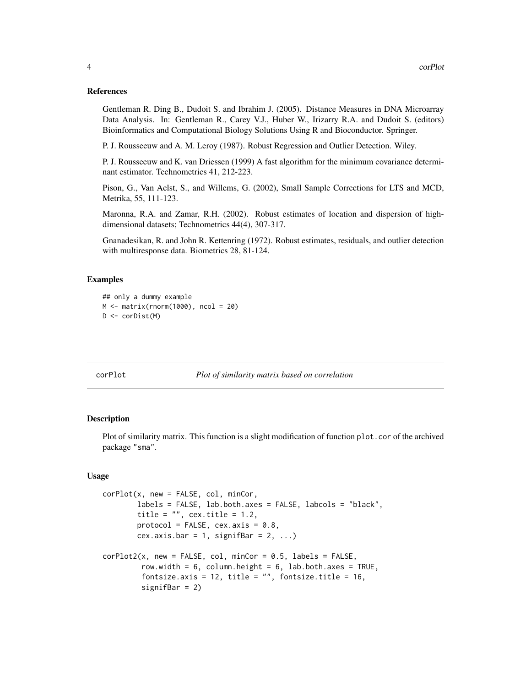#### <span id="page-3-0"></span>References

Gentleman R. Ding B., Dudoit S. and Ibrahim J. (2005). Distance Measures in DNA Microarray Data Analysis. In: Gentleman R., Carey V.J., Huber W., Irizarry R.A. and Dudoit S. (editors) Bioinformatics and Computational Biology Solutions Using R and Bioconductor. Springer.

P. J. Rousseeuw and A. M. Leroy (1987). Robust Regression and Outlier Detection. Wiley.

P. J. Rousseeuw and K. van Driessen (1999) A fast algorithm for the minimum covariance determinant estimator. Technometrics 41, 212-223.

Pison, G., Van Aelst, S., and Willems, G. (2002), Small Sample Corrections for LTS and MCD, Metrika, 55, 111-123.

Maronna, R.A. and Zamar, R.H. (2002). Robust estimates of location and dispersion of highdimensional datasets; Technometrics 44(4), 307-317.

Gnanadesikan, R. and John R. Kettenring (1972). Robust estimates, residuals, and outlier detection with multiresponse data. Biometrics 28, 81-124.

#### Examples

```
## only a dummy example
M \leftarrow matrix(rnorm(1000), ncol = 20)D <- corDist(M)
```
<span id="page-3-1"></span>

#### corPlot *Plot of similarity matrix based on correlation*

#### Description

Plot of similarity matrix. This function is a slight modification of function plot.cor of the archived package "sma".

#### Usage

```
corPlot(x, new = FALSE, col, minCor,
       labels = FALSE, lab.both.axes = FALSE, labcols = "black",
       title = ", cex.title = 1.2,
       protocol = FALSE, cex.axis = 0.8,
       cex.axis.bar = 1, signifBar = 2, ...)
corPlot2(x, new = FALSE, col, minCor = 0.5, labels = FALSE,row.width = 6, column.height = 6, lab.both.axes = TRUE,
        fontsize.axis = 12, title = ", fontsize.title = 16,
         signifBar = 2)
```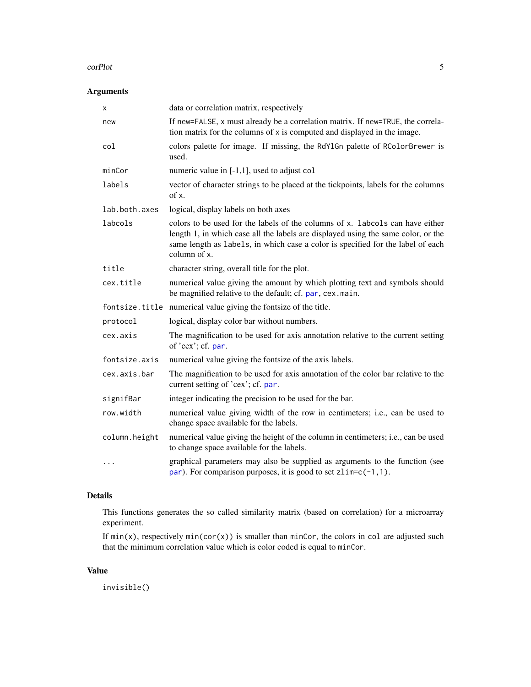#### <span id="page-4-0"></span>corPlot 5

# Arguments

| X             | data or correlation matrix, respectively                                                                                                                                                                                                                              |
|---------------|-----------------------------------------------------------------------------------------------------------------------------------------------------------------------------------------------------------------------------------------------------------------------|
| new           | If new=FALSE, x must already be a correlation matrix. If new=TRUE, the correla-<br>tion matrix for the columns of x is computed and displayed in the image.                                                                                                           |
| col           | colors palette for image. If missing, the RdY1Gn palette of RColorBrewer is<br>used.                                                                                                                                                                                  |
| minCor        | numeric value in $[-1,1]$ , used to adjust col                                                                                                                                                                                                                        |
| labels        | vector of character strings to be placed at the tickpoints, labels for the columns<br>of x.                                                                                                                                                                           |
| lab.both.axes | logical, display labels on both axes                                                                                                                                                                                                                                  |
| labcols       | colors to be used for the labels of the columns of x. labcols can have either<br>length 1, in which case all the labels are displayed using the same color, or the<br>same length as labels, in which case a color is specified for the label of each<br>column of x. |
| title         | character string, overall title for the plot.                                                                                                                                                                                                                         |
| cex.title     | numerical value giving the amount by which plotting text and symbols should<br>be magnified relative to the default; cf. par, cex. main.                                                                                                                              |
|               | fontsize.title numerical value giving the fontsize of the title.                                                                                                                                                                                                      |
| protocol      | logical, display color bar without numbers.                                                                                                                                                                                                                           |
| cex.axis      | The magnification to be used for axis annotation relative to the current setting<br>of 'cex'; cf. par.                                                                                                                                                                |
| fontsize.axis | numerical value giving the fontsize of the axis labels.                                                                                                                                                                                                               |
| cex.axis.bar  | The magnification to be used for axis annotation of the color bar relative to the<br>current setting of 'cex'; cf. par.                                                                                                                                               |
| signifBar     | integer indicating the precision to be used for the bar.                                                                                                                                                                                                              |
| row.width     | numerical value giving width of the row in centimeters; i.e., can be used to<br>change space available for the labels.                                                                                                                                                |
| column.height | numerical value giving the height of the column in centimeters; i.e., can be used<br>to change space available for the labels.                                                                                                                                        |
| .             | graphical parameters may also be supplied as arguments to the function (see<br>par). For comparison purposes, it is good to set $zlim=c(-1,1)$ .                                                                                                                      |

# Details

This functions generates the so called similarity matrix (based on correlation) for a microarray experiment.

If  $min(x)$ , respectively  $min(cor(x))$  is smaller than minCor, the colors in col are adjusted such that the minimum correlation value which is color coded is equal to minCor.

# Value

invisible()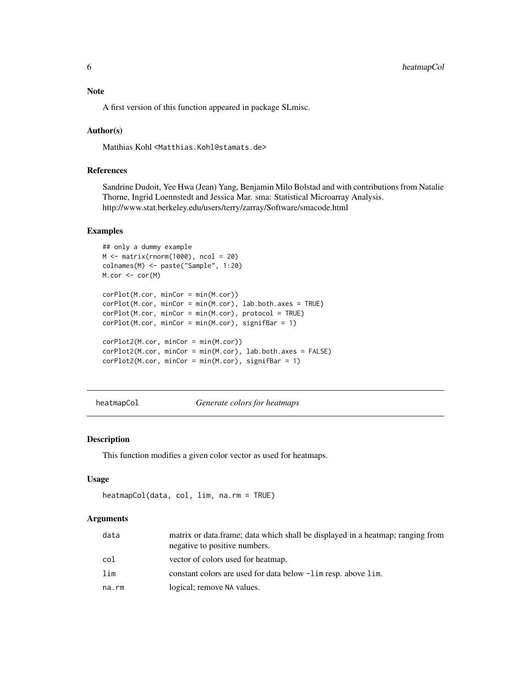# <span id="page-5-0"></span>Note

A first version of this function appeared in package SLmisc.

#### Author(s)

Matthias Kohl <Matthias.Kohl@stamats.de>

# References

Sandrine Dudoit, Yee Hwa (Jean) Yang, Benjamin Milo Bolstad and with contributions from Natalie Thorne, Ingrid Loennstedt and Jessica Mar. sma: Statistical Microarray Analysis. http://www.stat.berkeley.edu/users/terry/zarray/Software/smacode.html

#### Examples

```
## only a dummy example
M \leftarrow matrix(rnorm(1000), ncol = 20)colnames(M) <- paste("Sample", 1:20)
M.cor <- cor(M)
corPlot(M.cor, minCor = min(M.cor))
corPlot(M.cor, minCor = min(M.cor), lab.both.axes = TRUE)
corPlot(M.cor, minCor = min(M.cor), protocol = TRUE)corPlot(M.cor, minCor = min(M.cor), signifBar = 1)corPlot2(M.cor, minCor = min(M.cor))
corPlot2(M.cor, minCor = min(M.cor), lab.both.axes = FALSE)
corPlot2(M.cor, minCor = min(M.cor), signifBar = 1)
```
heatmapCol *Generate colors for heatmaps*

#### Description

This function modifies a given color vector as used for heatmaps.

#### Usage

```
heatmapCol(data, col, lim, na.rm = TRUE)
```
#### Arguments

| data  | matrix or data.frame; data which shall be displayed in a heatmap; ranging from<br>negative to positive numbers. |
|-------|-----------------------------------------------------------------------------------------------------------------|
| col   | vector of colors used for heatmap.                                                                              |
| lim   | constant colors are used for data below $-\lim$ resp. above lim.                                                |
| na.rm | logical; remove NA values.                                                                                      |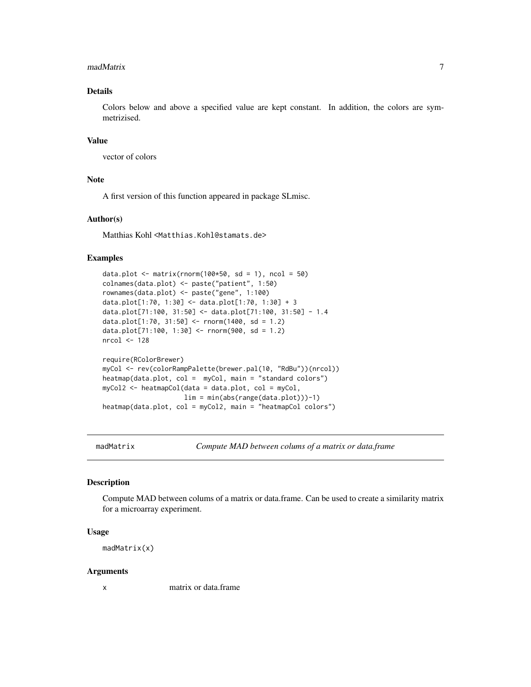#### <span id="page-6-0"></span>madMatrix 7

# Details

Colors below and above a specified value are kept constant. In addition, the colors are symmetrizised.

#### Value

vector of colors

# Note

A first version of this function appeared in package SLmisc.

#### Author(s)

Matthias Kohl <Matthias.Kohl@stamats.de>

#### Examples

```
data.plot \leq matrix(rnorm(100*50, sd = 1), ncol = 50)
colnames(data.plot) <- paste("patient", 1:50)
rownames(data.plot) <- paste("gene", 1:100)
data.plot[1:70, 1:30] <- data.plot[1:70, 1:30] + 3
data.plot[71:100, 31:50] <- data.plot[71:100, 31:50] - 1.4
data.plot[1:70, 31:50] <- rnorm(1400, sd = 1.2)
data.plot[71:100, 1:30] <- rnorm(900, sd = 1.2)nrcol <- 128
require(RColorBrewer)
myCol <- rev(colorRampPalette(brewer.pal(10, "RdBu"))(nrcol))
heatmap(data.plot, col = myCol, main = "standard colors")
myCol2 <- heatmapCol(data = data.plot, col = myCol,
                     lim = min(abs(range(data.plot)))-1)
heatmap(data.plot, col = myCol2, main = "heatmapCol colors")
```
madMatrix *Compute MAD between colums of a matrix or data.frame*

# **Description**

Compute MAD between colums of a matrix or data.frame. Can be used to create a similarity matrix for a microarray experiment.

#### Usage

madMatrix(x)

#### Arguments

x matrix or data.frame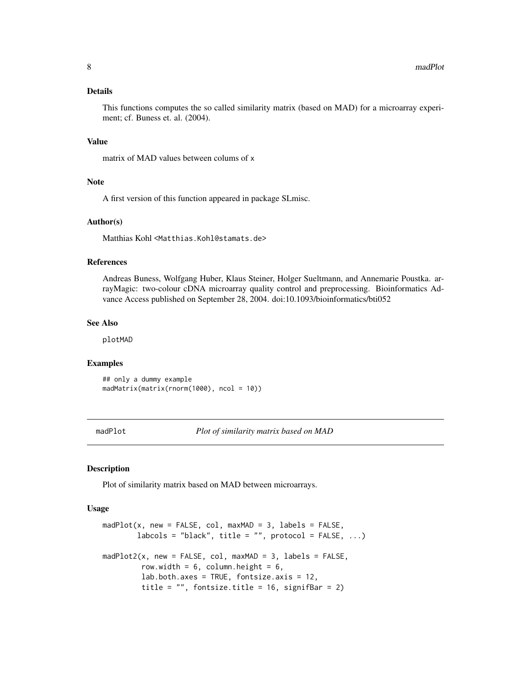#### <span id="page-7-0"></span>Details

This functions computes the so called similarity matrix (based on MAD) for a microarray experiment; cf. Buness et. al. (2004).

#### Value

matrix of MAD values between colums of x

# Note

A first version of this function appeared in package SLmisc.

#### Author(s)

Matthias Kohl <Matthias.Kohl@stamats.de>

# References

Andreas Buness, Wolfgang Huber, Klaus Steiner, Holger Sueltmann, and Annemarie Poustka. arrayMagic: two-colour cDNA microarray quality control and preprocessing. Bioinformatics Advance Access published on September 28, 2004. doi:10.1093/bioinformatics/bti052

#### See Also

plotMAD

# Examples

```
## only a dummy example
madMatrix(matrix(rnorm(1000), ncol = 10))
```
madPlot *Plot of similarity matrix based on MAD*

#### Description

Plot of similarity matrix based on MAD between microarrays.

#### Usage

```
madPlot(x, new = FALSE, col, maxMAD = 3, labels = FALSE,
       labcols = "black", title = "", protocol = FALSE, ...)
madPlot2(x, new = FALSE, col, maxMAD = 3, labels = FALSE,
        row.width = 6, column.height = 6,
        lab.both.axes = TRUE, fontsize.axis = 12,
        title = ", fontsize.title = 16, signifBar = 2)
```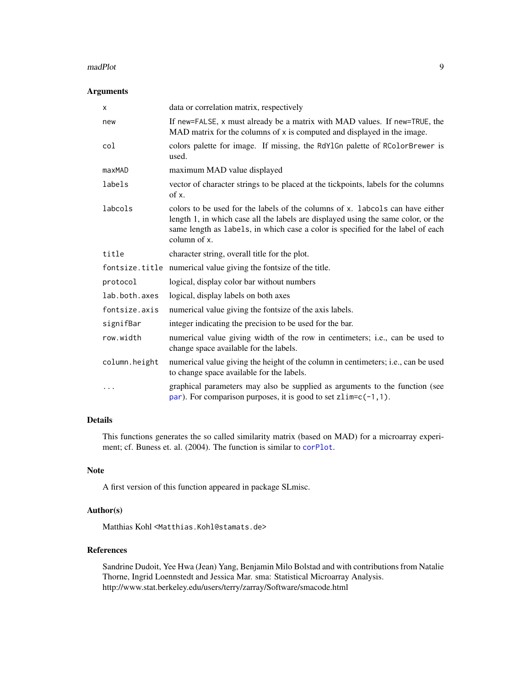#### <span id="page-8-0"></span>madPlot 9

# Arguments

| X             | data or correlation matrix, respectively                                                                                                                                                                                                                              |
|---------------|-----------------------------------------------------------------------------------------------------------------------------------------------------------------------------------------------------------------------------------------------------------------------|
| new           | If new=FALSE, x must already be a matrix with MAD values. If new=TRUE, the<br>MAD matrix for the columns of x is computed and displayed in the image.                                                                                                                 |
| col           | colors palette for image. If missing, the RdY1Gn palette of RColorBrewer is<br>used.                                                                                                                                                                                  |
| maxMAD        | maximum MAD value displayed                                                                                                                                                                                                                                           |
| labels        | vector of character strings to be placed at the tickpoints, labels for the columns<br>of x.                                                                                                                                                                           |
| labcols       | colors to be used for the labels of the columns of x. labords can have either<br>length 1, in which case all the labels are displayed using the same color, or the<br>same length as labels, in which case a color is specified for the label of each<br>column of x. |
| title         | character string, overall title for the plot.                                                                                                                                                                                                                         |
|               | fontsize.title numerical value giving the fontsize of the title.                                                                                                                                                                                                      |
| protocol      | logical, display color bar without numbers                                                                                                                                                                                                                            |
| lab.both.axes | logical, display labels on both axes                                                                                                                                                                                                                                  |
| fontsize.axis | numerical value giving the fontsize of the axis labels.                                                                                                                                                                                                               |
| signifBar     | integer indicating the precision to be used for the bar.                                                                                                                                                                                                              |
| row.width     | numerical value giving width of the row in centimeters; i.e., can be used to<br>change space available for the labels.                                                                                                                                                |
| column.height | numerical value giving the height of the column in centimeters; i.e., can be used<br>to change space available for the labels.                                                                                                                                        |
| $\cdots$      | graphical parameters may also be supplied as arguments to the function (see<br>par). For comparison purposes, it is good to set $zlim=c(-1,1)$ .                                                                                                                      |

# Details

This functions generates the so called similarity matrix (based on MAD) for a microarray experiment; cf. Buness et. al. (2004). The function is similar to [corPlot](#page-3-1).

# Note

A first version of this function appeared in package SLmisc.

# Author(s)

Matthias Kohl <Matthias.Kohl@stamats.de>

# References

Sandrine Dudoit, Yee Hwa (Jean) Yang, Benjamin Milo Bolstad and with contributions from Natalie Thorne, Ingrid Loennstedt and Jessica Mar. sma: Statistical Microarray Analysis. http://www.stat.berkeley.edu/users/terry/zarray/Software/smacode.html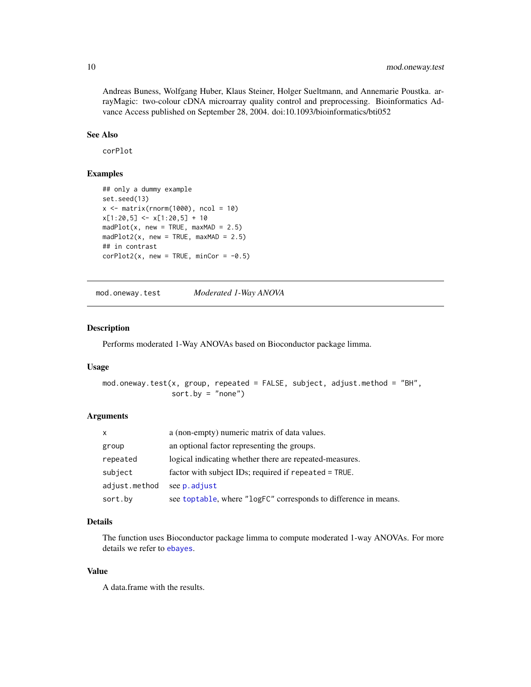<span id="page-9-0"></span>Andreas Buness, Wolfgang Huber, Klaus Steiner, Holger Sueltmann, and Annemarie Poustka. arrayMagic: two-colour cDNA microarray quality control and preprocessing. Bioinformatics Advance Access published on September 28, 2004. doi:10.1093/bioinformatics/bti052

# See Also

corPlot

#### Examples

```
## only a dummy example
set.seed(13)
x \le matrix(rnorm(1000), ncol = 10)
x[1:20,5] <- x[1:20,5] + 10
madPlot(x, new = TRUE, maxMAD = 2.5)madPlot2(x, new = TRUE, maxMAD = 2.5)## in contrast
corPlot2(x, new = TRUE, minCor = -0.5)
```
mod.oneway.test *Moderated 1-Way ANOVA*

# Description

Performs moderated 1-Way ANOVAs based on Bioconductor package limma.

# Usage

```
mod.oneway.test(x, group, repeated = FALSE, subject, adjust.method = "BH",
                sort.by = "none")
```
# Arguments

| X             | a (non-empty) numeric matrix of data values.                    |
|---------------|-----------------------------------------------------------------|
| group         | an optional factor representing the groups.                     |
| repeated      | logical indicating whether there are repeated-measures.         |
| subject       | factor with subject IDs; required if repeated = TRUE.           |
| adjust.method | see p. adjust                                                   |
| sort.by       | see toptable, where "logFC" corresponds to difference in means. |

# Details

The function uses Bioconductor package limma to compute moderated 1-way ANOVAs. For more details we refer to [ebayes](#page-0-0).

#### Value

A data.frame with the results.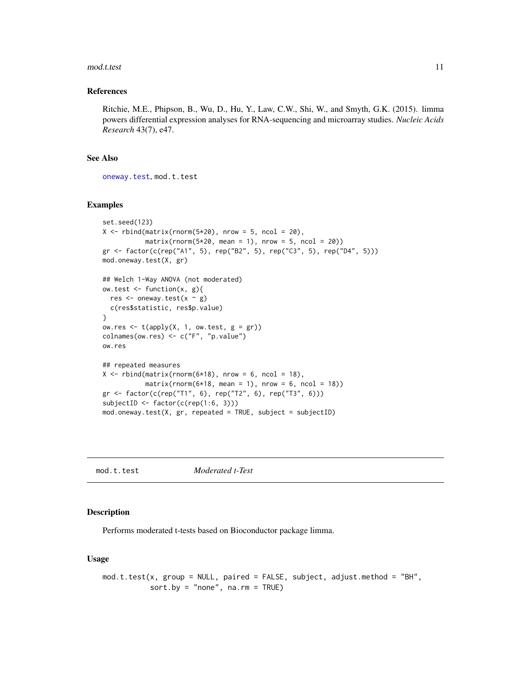#### <span id="page-10-0"></span>mod.t.test 11

#### References

Ritchie, M.E., Phipson, B., Wu, D., Hu, Y., Law, C.W., Shi, W., and Smyth, G.K. (2015). limma powers differential expression analyses for RNA-sequencing and microarray studies. *Nucleic Acids Research* 43(7), e47.

# See Also

[oneway.test](#page-0-0), mod.t.test

# Examples

```
set.seed(123)
X \le rbind(matrix(rnorm(5*20), nrow = 5, ncol = 20),
           matrix(rnorm(5*20, mean = 1), nrow = 5, ncol = 20)gr <- factor(c(rep("A1", 5), rep("B2", 5), rep("C3", 5), rep("D4", 5)))
mod.oneway.test(X, gr)
## Welch 1-Way ANOVA (not moderated)
ow.test <- function(x, g){
  res \leq oneway.test(x \sim g)
  c(res$statistic, res$p.value)
}
ow.res \leq t(apply(X, 1, ow.test, g = gr))
colnames(ow.res) <- c("F", "p.value")
ow.res
## repeated measures
X \le rbind(matrix(rnorm(6*18), nrow = 6, ncol = 18),
           matrix(rnorm(6*18, mean = 1), nrow = 6, ncol = 18))gr <- factor(c(rep("T1", 6), rep("T2", 6), rep("T3", 6)))
subjectID <- factor(c(rep(1:6, 3)))
mod. one way. test(X, gr, repeated = TRUE, subject = subjectID)
```
mod.t.test *Moderated t-Test*

#### Description

Performs moderated t-tests based on Bioconductor package limma.

#### Usage

```
mod.t.test(x, group = NULL, paired = FALSE, subject, adjust.method = "BH",
           sort.by = "none", na.rm = TRUE)
```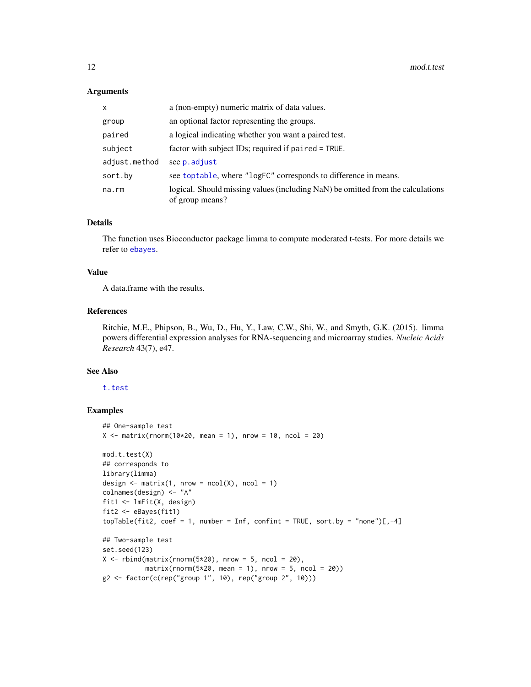#### <span id="page-11-0"></span>**Arguments**

| X             | a (non-empty) numeric matrix of data values.                                                       |
|---------------|----------------------------------------------------------------------------------------------------|
| group         | an optional factor representing the groups.                                                        |
| paired        | a logical indicating whether you want a paired test.                                               |
| subject       | factor with subject IDs; required if $paired = TRUE$ .                                             |
| adjust.method | see p. adjust                                                                                      |
| sort.by       | see toptable, where "logFC" corresponds to difference in means.                                    |
| na.rm         | logical. Should missing values (including NaN) be omitted from the calculations<br>of group means? |

# Details

The function uses Bioconductor package limma to compute moderated t-tests. For more details we refer to [ebayes](#page-0-0).

#### Value

A data.frame with the results.

#### References

Ritchie, M.E., Phipson, B., Wu, D., Hu, Y., Law, C.W., Shi, W., and Smyth, G.K. (2015). limma powers differential expression analyses for RNA-sequencing and microarray studies. *Nucleic Acids Research* 43(7), e47.

# See Also

#### [t.test](#page-0-0)

```
## One-sample test
X \le - matrix(rnorm(10*20, mean = 1), nrow = 10, ncol = 20)
mod.t.test(X)
## corresponds to
library(limma)
design \leq matrix(1, nrow = ncol(X), ncol = 1)
colnames(design) <- "A"
fit1 <- lmFit(X, design)
fit2 <- eBayes(fit1)
topTable(fit2, coef = 1, number = Inf, confint = TRUE, sort.by = "none")[,-4]
## Two-sample test
set.seed(123)
X \le rbind(matrix(rnorm(5*20), nrow = 5, ncol = 20),
           matrix(rnorm(5*20, mean = 1), nrow = 5, ncol = 20))g2 <- factor(c(rep("group 1", 10), rep("group 2", 10)))
```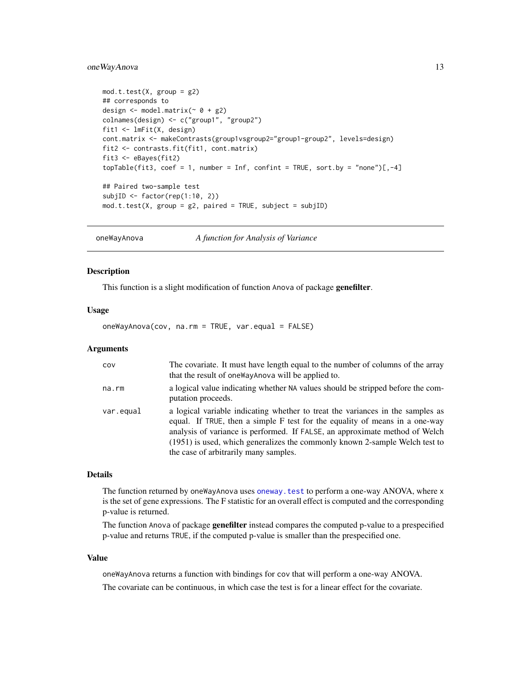# <span id="page-12-0"></span>oneWayAnova 13

```
mod.t.test(X, group = g2)## corresponds to
design <- model.matrix(~ 0 + g2)
colnames(design) <- c("group1", "group2")
fit1 <- lmFit(X, design)
cont.matrix <- makeContrasts(group1vsgroup2="group1-group2", levels=design)
fit2 <- contrasts.fit(fit1, cont.matrix)
fit3 <- eBayes(fit2)
topTable(fit3, coef = 1, number = Inf, confint = TRUE, sort.by = "none")[,-4]
## Paired two-sample test
subjID <- factor(rep(1:10, 2))
mod.t.test(X, group = g2, paired = TRUE, subject = subjID)
```
<span id="page-12-1"></span>oneWayAnova *A function for Analysis of Variance*

# Description

This function is a slight modification of function Anova of package genefilter.

#### Usage

oneWayAnova(cov, na.rm = TRUE, var.equal = FALSE)

# Arguments

| COV       | The covariate. It must have length equal to the number of columns of the array<br>that the result of one Way Anova will be applied to.                                                                                                                                                                                                                               |
|-----------|----------------------------------------------------------------------------------------------------------------------------------------------------------------------------------------------------------------------------------------------------------------------------------------------------------------------------------------------------------------------|
| na.rm     | a logical value indicating whether NA values should be stripped before the com-<br>putation proceeds.                                                                                                                                                                                                                                                                |
| var.equal | a logical variable indicating whether to treat the variances in the samples as<br>equal. If TRUE, then a simple F test for the equality of means in a one-way<br>analysis of variance is performed. If FALSE, an approximate method of Welch<br>(1951) is used, which generalizes the commonly known 2-sample Welch test to<br>the case of arbitrarily many samples. |

# Details

The function returned by oneWayAnova uses oneway. test to perform a one-way ANOVA, where x is the set of gene expressions. The F statistic for an overall effect is computed and the corresponding p-value is returned.

The function Anova of package genefilter instead compares the computed p-value to a prespecified p-value and returns TRUE, if the computed p-value is smaller than the prespecified one.

# Value

oneWayAnova returns a function with bindings for cov that will perform a one-way ANOVA. The covariate can be continuous, in which case the test is for a linear effect for the covariate.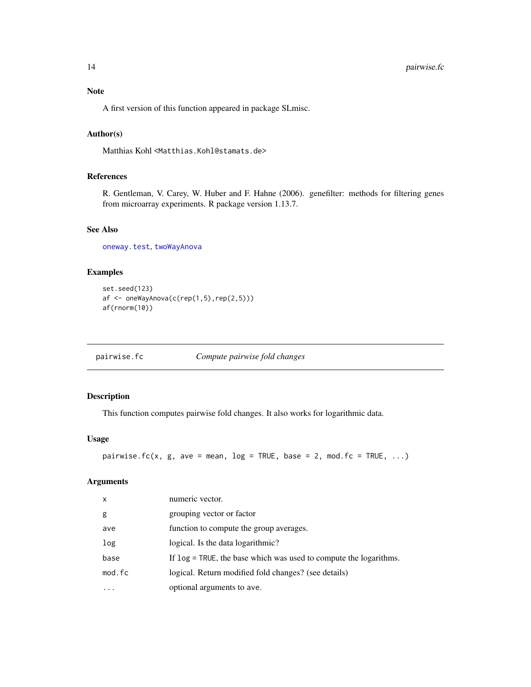# <span id="page-13-0"></span>Note

A first version of this function appeared in package SLmisc.

# Author(s)

Matthias Kohl <Matthias.Kohl@stamats.de>

# References

R. Gentleman, V. Carey, W. Huber and F. Hahne (2006). genefilter: methods for filtering genes from microarray experiments. R package version 1.13.7.

# See Also

[oneway.test](#page-0-0), [twoWayAnova](#page-24-1)

# Examples

```
set.seed(123)
af <- oneWayAnova(c(rep(1,5),rep(2,5)))
af(rnorm(10))
```
pairwise.fc *Compute pairwise fold changes*

# Description

This function computes pairwise fold changes. It also works for logarithmic data.

# Usage

```
pairwise.fc(x, g, ave = mean, log = TRUE, base = 2, mod.fc = TRUE, \ldots)
```
# Arguments

| x       | numeric vector.                                                   |
|---------|-------------------------------------------------------------------|
| g       | grouping vector or factor                                         |
| ave     | function to compute the group averages.                           |
| log     | logical. Is the data logarithmic?                                 |
| base    | If log = TRUE, the base which was used to compute the logarithms. |
| mod.fc  | logical. Return modified fold changes? (see details)              |
| $\cdot$ | optional arguments to ave.                                        |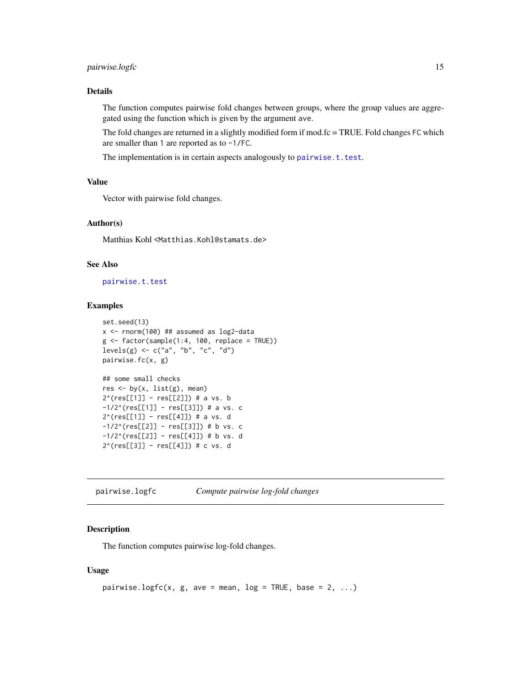# <span id="page-14-0"></span>pairwise.logfc 15

# Details

The function computes pairwise fold changes between groups, where the group values are aggregated using the function which is given by the argument ave.

The fold changes are returned in a slightly modified form if mod.fc = TRUE. Fold changes FC which are smaller than 1 are reported as to -1/FC.

The implementation is in certain aspects analogously to [pairwise.t.test](#page-0-0).

# Value

Vector with pairwise fold changes.

# Author(s)

Matthias Kohl <Matthias.Kohl@stamats.de>

# See Also

[pairwise.t.test](#page-0-0)

# Examples

```
set.seed(13)
x <- rnorm(100) ## assumed as log2-data
g \leftarrow factor(sample(1:4, 100, replace = TRUE))
levels(g) \leq c("a", "b", "c", "d")pairwise.fc(x, g)
## some small checks
res \leq by(x, list(g), mean)
2^(res[[1]] - res[[2]]) # a vs. b
-1/2^(res[[1]] - res[[3]]) # a vs. c
2^(res[[1]] - res[[4]]) # a vs. d
-1/2^(res[[2]] - res[[3]]) # b vs. c
-1/2^(res[[2]] - res[[4]]) # b vs. d
2^(res[[3]] - res[[4]]) # c vs. d
```
pairwise.logfc *Compute pairwise log-fold changes*

# Description

The function computes pairwise log-fold changes.

# Usage

```
pairwise.logfc(x, g, ave = mean, log = TRUE, base = 2, ...)
```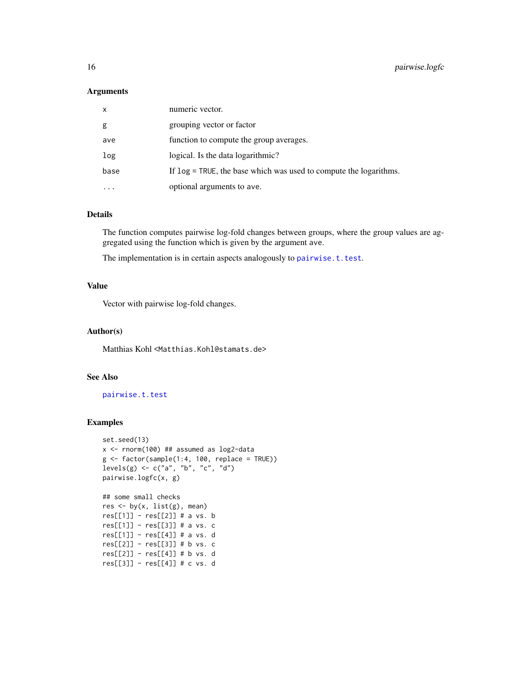#### <span id="page-15-0"></span>Arguments

| $\mathsf{x}$ | numeric vector.                                                      |
|--------------|----------------------------------------------------------------------|
| g            | grouping vector or factor                                            |
| ave          | function to compute the group averages.                              |
| log          | logical. Is the data logarithmic?                                    |
| base         | If $log = TRUE$ , the base which was used to compute the logarithms. |
|              | optional arguments to ave.                                           |

# Details

The function computes pairwise log-fold changes between groups, where the group values are aggregated using the function which is given by the argument ave.

The implementation is in certain aspects analogously to [pairwise.t.test](#page-0-0).

# Value

Vector with pairwise log-fold changes.

#### Author(s)

Matthias Kohl <Matthias.Kohl@stamats.de>

# See Also

[pairwise.t.test](#page-0-0)

```
set.seed(13)
x <- rnorm(100) ## assumed as log2-data
g \leftarrow factor(sample(1:4, 100, replace = TRUE))
levels(g) \leq c("a", "b", "c", "d")pairwise.logfc(x, g)
```

```
## some small checks
res \leq by(x, list(g), mean)
res[[1]] - res[[2]] # a vs. b
res[[1]] - res[[3]] # a vs. c
res[[1]] - res[[4]] # a vs. d
res[[2]] - res[[3]] # b vs. c
res[[2]] - res[[4]] # b vs. d
res[[3]] - res[[4]] # c vs. d
```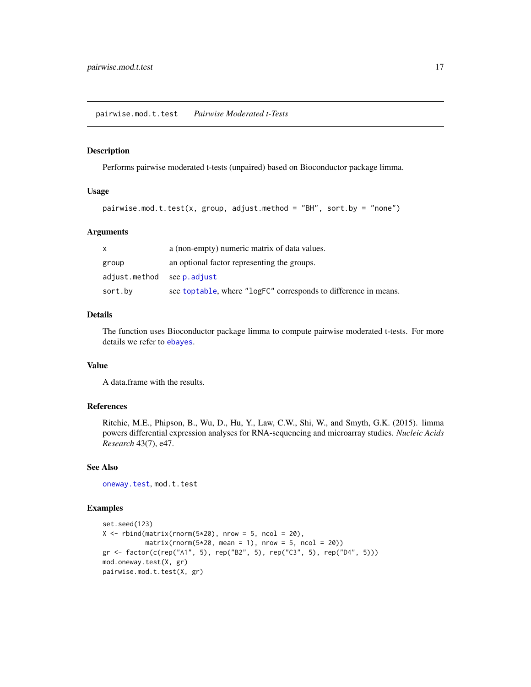#### <span id="page-16-0"></span>Description

Performs pairwise moderated t-tests (unpaired) based on Bioconductor package limma.

# Usage

```
pairwise.mod.t.test(x, group, adjust.method = "BH", sort.by = "none")
```
#### Arguments

| x                          | a (non-empty) numeric matrix of data values.                    |
|----------------------------|-----------------------------------------------------------------|
| group                      | an optional factor representing the groups.                     |
| adjust.method see p.adjust |                                                                 |
| sort.by                    | see toptable, where "logFC" corresponds to difference in means. |

# Details

The function uses Bioconductor package limma to compute pairwise moderated t-tests. For more details we refer to [ebayes](#page-0-0).

# Value

A data.frame with the results.

# References

Ritchie, M.E., Phipson, B., Wu, D., Hu, Y., Law, C.W., Shi, W., and Smyth, G.K. (2015). limma powers differential expression analyses for RNA-sequencing and microarray studies. *Nucleic Acids Research* 43(7), e47.

# See Also

[oneway.test](#page-0-0), mod.t.test

```
set.seed(123)
X \le rbind(matrix(rnorm(5*20), nrow = 5, ncol = 20),
           matrix(rnorm(5*20, mean = 1), nrow = 5, ncol = 20)gr <- factor(c(rep("A1", 5), rep("B2", 5), rep("C3", 5), rep("D4", 5)))
mod.oneway.test(X, gr)
pairwise.mod.t.test(X, gr)
```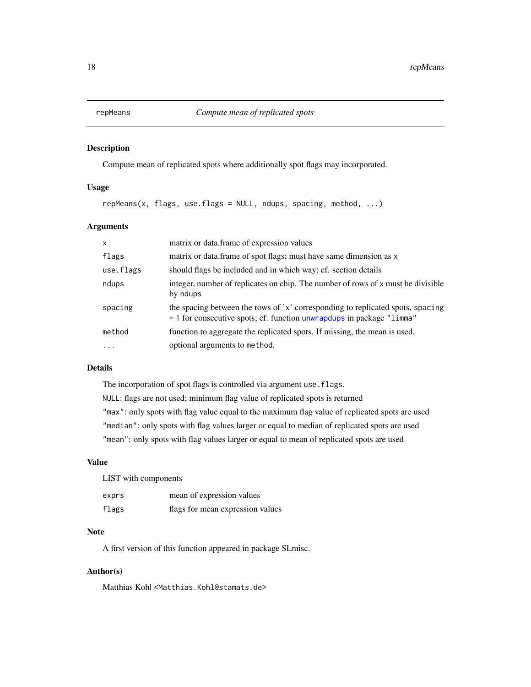<span id="page-17-0"></span>

# Description

Compute mean of replicated spots where additionally spot flags may incorporated.

# Usage

repMeans(x, flags, use.flags = NULL, ndups, spacing, method, ...)

# Arguments

| $\mathsf{x}$ | matrix or data.frame of expression values                                                                                                                                  |
|--------------|----------------------------------------------------------------------------------------------------------------------------------------------------------------------------|
| flags        | matrix or data. frame of spot flags; must have same dimension as x                                                                                                         |
| use.flags    | should flags be included and in which way; cf. section details                                                                                                             |
| ndups        | integer, number of replicates on chip. The number of rows of x must be divisible<br>by ndups                                                                               |
| spacing      | the spacing between the rows of 'x' corresponding to replicated spots, spacing<br>$=$ 1 for consecutive spots; cf. function unwrapdups in package " $lim_{n \to \infty}$ " |
| method       | function to aggregate the replicated spots. If missing, the mean is used.                                                                                                  |
| .            | optional arguments to method.                                                                                                                                              |

# Details

The incorporation of spot flags is controlled via argument use.flags. NULL: flags are not used; minimum flag value of replicated spots is returned "max": only spots with flag value equal to the maximum flag value of replicated spots are used "median": only spots with flag values larger or equal to median of replicated spots are used "mean": only spots with flag values larger or equal to mean of replicated spots are used

# Value

| LIST with components |                                  |
|----------------------|----------------------------------|
| exprs                | mean of expression values        |
| flags                | flags for mean expression values |

# Note

A first version of this function appeared in package SLmisc.

# Author(s)

Matthias Kohl <Matthias.Kohl@stamats.de>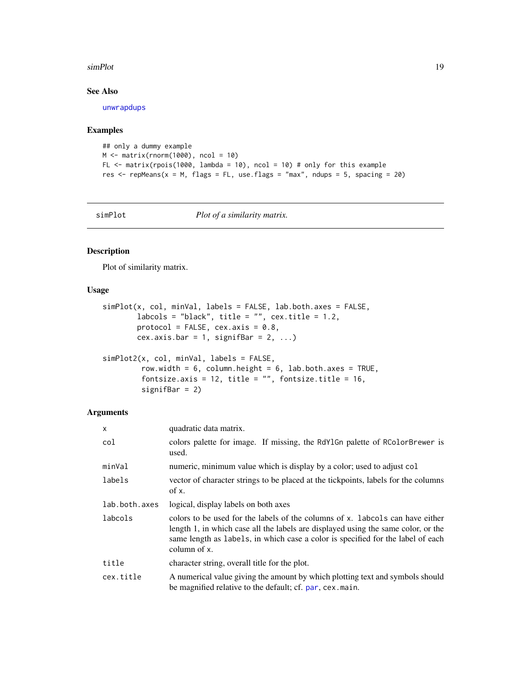#### <span id="page-18-0"></span>simPlot the state of the state of the state of the state of the state of the state of the state of the state of the state of the state of the state of the state of the state of the state of the state of the state of the st

# See Also

[unwrapdups](#page-0-0)

# Examples

```
## only a dummy example
M \leftarrow \text{matrix}(rnorm(1000), ncol = 10)FL \le matrix(rpois(1000, lambda = 10), ncol = 10) # only for this example
res \le - repMeans(x = M, flags = FL, use.flags = "max", ndups = 5, spacing = 20)
```
simPlot *Plot of a similarity matrix.*

# Description

Plot of similarity matrix.

# Usage

```
simPlot(x, col, minVal, labels = FALSE, lab.both.axes = FALSE,
       labcols = "black", title = "", cex.title = 1.2,
       protocol = FALSE, cex.axis = 0.8,
       cex.axis.bar = 1, signifBar = 2, ...)
```

```
simPlot2(x, col, minVal, labels = FALSE,
        row.width = 6, column.height = 6, lab.both.axes = TRUE,
         fontsize.axis = 12, title = ", fontsize.title = 16,
        signifBar = 2)
```
# Arguments

| x             | quadratic data matrix.                                                                                                                                                                                                                                                |
|---------------|-----------------------------------------------------------------------------------------------------------------------------------------------------------------------------------------------------------------------------------------------------------------------|
| col           | colors palette for image. If missing, the RdY1Gn palette of RColorBrewer is<br>used.                                                                                                                                                                                  |
| minVal        | numeric, minimum value which is display by a color; used to adjust col                                                                                                                                                                                                |
| labels        | vector of character strings to be placed at the tickpoints, labels for the columns<br>of x.                                                                                                                                                                           |
| lab.both.axes | logical, display labels on both axes                                                                                                                                                                                                                                  |
| labcols       | colors to be used for the labels of the columns of x. labords can have either<br>length 1, in which case all the labels are displayed using the same color, or the<br>same length as labels, in which case a color is specified for the label of each<br>column of x. |
| title         | character string, overall title for the plot.                                                                                                                                                                                                                         |
| cex.title     | A numerical value giving the amount by which plotting text and symbols should<br>be magnified relative to the default; cf. par, cex. main.                                                                                                                            |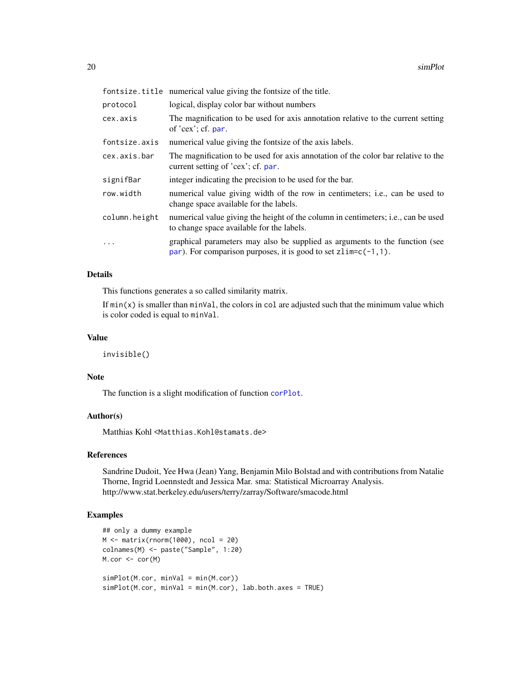<span id="page-19-0"></span>

|               | fontsize.title numerical value giving the fontsize of the title.                                                                                 |
|---------------|--------------------------------------------------------------------------------------------------------------------------------------------------|
| protocol      | logical, display color bar without numbers                                                                                                       |
| cex.axis      | The magnification to be used for axis annotation relative to the current setting<br>of $'cex$ ; cf. par.                                         |
| fontsize.axis | numerical value giving the fontsize of the axis labels.                                                                                          |
| cex.axis.bar  | The magnification to be used for axis annotation of the color bar relative to the<br>current setting of 'cex'; cf. par.                          |
| signifBar     | integer indicating the precision to be used for the bar.                                                                                         |
| row.width     | numerical value giving width of the row in centimeters; i.e., can be used to<br>change space available for the labels.                           |
| column.height | numerical value giving the height of the column in centimeters; i.e., can be used<br>to change space available for the labels.                   |
| .             | graphical parameters may also be supplied as arguments to the function (see<br>par). For comparison purposes, it is good to set $zlim=c(-1,1)$ . |

# Details

This functions generates a so called similarity matrix.

If  $min(x)$  is smaller than  $minVal$ , the colors in col are adjusted such that the minimum value which is color coded is equal to minVal.

# Value

invisible()

#### Note

The function is a slight modification of function [corPlot](#page-3-1).

# Author(s)

Matthias Kohl <Matthias.Kohl@stamats.de>

#### References

Sandrine Dudoit, Yee Hwa (Jean) Yang, Benjamin Milo Bolstad and with contributions from Natalie Thorne, Ingrid Loennstedt and Jessica Mar. sma: Statistical Microarray Analysis. http://www.stat.berkeley.edu/users/terry/zarray/Software/smacode.html

```
## only a dummy example
M <- matrix(rnorm(1000), ncol = 20)
colnames(M) <- paste("Sample", 1:20)
M.cor <- cor(M)
simPlot(M.cor, minVal = min(M.cor))
simPlot(M.cor, minVal = min(M.cor), lab.both.axes = TRUE)
```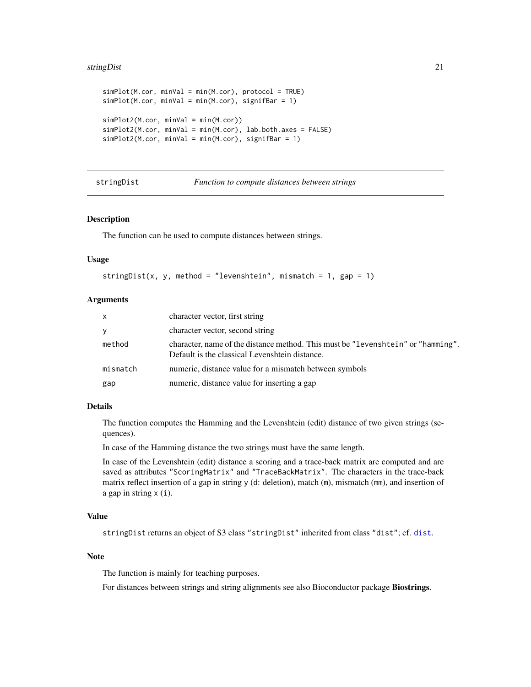#### <span id="page-20-0"></span>stringDist 21

```
simPlot(M.cor, minVal = min(M.cor), protocol = TRUE)
simPlot(M.cor, minVal = min(M.cor), signifBar = 1)simPlot2(M.cor, minVal = min(M.cor))
simPlot2(M.cor, minVal = min(M.cor), lab.both.axes = FALSE)
simPlot2(M.cor, minVal = min(M.cor), signifBar = 1)
```
<span id="page-20-1"></span>stringDist *Function to compute distances between strings*

#### Description

The function can be used to compute distances between strings.

#### Usage

```
stringDist(x, y, method = "levenshtein", mismatch = 1, gap = 1)
```
#### Arguments

| X        | character vector, first string                                                                                                     |
|----------|------------------------------------------------------------------------------------------------------------------------------------|
| <b>V</b> | character vector, second string                                                                                                    |
| method   | character, name of the distance method. This must be "levenshtein" or "hamming".<br>Default is the classical Levenshtein distance. |
| mismatch | numeric, distance value for a mismatch between symbols                                                                             |
| gap      | numeric, distance value for inserting a gap                                                                                        |

# Details

The function computes the Hamming and the Levenshtein (edit) distance of two given strings (sequences).

In case of the Hamming distance the two strings must have the same length.

In case of the Levenshtein (edit) distance a scoring and a trace-back matrix are computed and are saved as attributes "ScoringMatrix" and "TraceBackMatrix". The characters in the trace-back matrix reflect insertion of a gap in string  $y$  (d: deletion), match  $(m)$ , mismatch  $(mm)$ , and insertion of a gap in string x (i).

# Value

stringDist returns an object of S3 class "stringDist" inherited from class "dist"; cf. [dist](#page-0-0).

# Note

The function is mainly for teaching purposes.

For distances between strings and string alignments see also Bioconductor package Biostrings.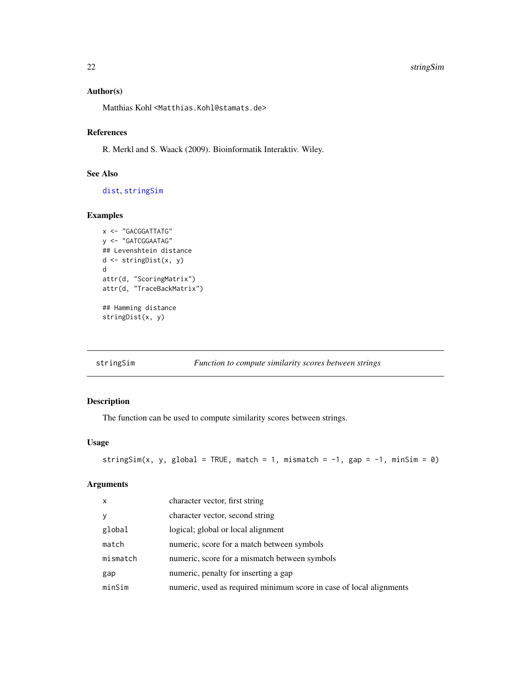#### 22 stringSim

# Author(s)

Matthias Kohl <Matthias.Kohl@stamats.de>

#### References

R. Merkl and S. Waack (2009). Bioinformatik Interaktiv. Wiley.

#### See Also

[dist](#page-0-0), [stringSim](#page-21-1)

# Examples

```
x <- "GACGGATTATG"
y <- "GATCGGAATAG"
## Levenshtein distance
d <- stringDist(x, y)
d
attr(d, "ScoringMatrix")
attr(d, "TraceBackMatrix")
## Hamming distance
stringDist(x, y)
```
<span id="page-21-1"></span>stringSim *Function to compute similarity scores between strings*

# Description

The function can be used to compute similarity scores between strings.

# Usage

```
stringSim(x, y, global = TRUE, match = 1, mismatch = -1, gap = -1, minSim = 0)
```
# Arguments

| $\mathsf{x}$ | character vector, first string                                      |
|--------------|---------------------------------------------------------------------|
| V            | character vector, second string                                     |
| global       | logical; global or local alignment                                  |
| match        | numeric, score for a match between symbols                          |
| mismatch     | numeric, score for a mismatch between symbols                       |
| gap          | numeric, penalty for inserting a gap                                |
| minSim       | numeric, used as required minimum score in case of local alignments |

<span id="page-21-0"></span>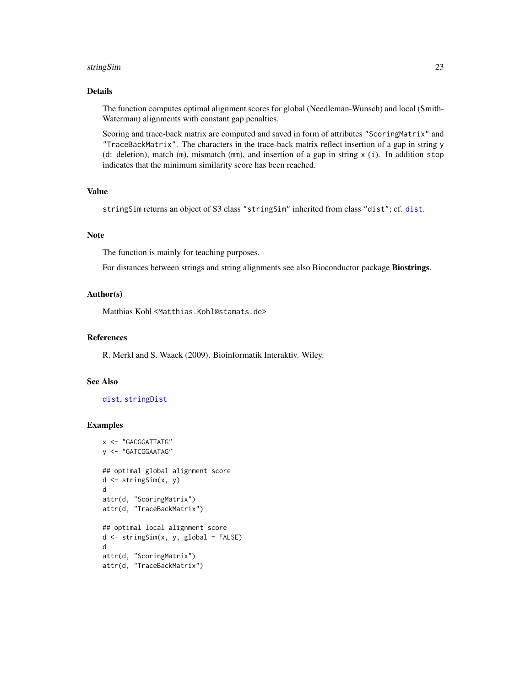#### <span id="page-22-0"></span>stringSim 23

# Details

The function computes optimal alignment scores for global (Needleman-Wunsch) and local (Smith-Waterman) alignments with constant gap penalties.

Scoring and trace-back matrix are computed and saved in form of attributes "ScoringMatrix" and "TraceBackMatrix". The characters in the trace-back matrix reflect insertion of a gap in string y (d: deletion), match  $(m)$ , mismatch  $(mm)$ , and insertion of a gap in string  $x$  (i). In addition stop indicates that the minimum similarity score has been reached.

# Value

stringSim returns an object of S3 class "stringSim" inherited from class "dist"; cf. [dist](#page-0-0).

#### Note

The function is mainly for teaching purposes.

For distances between strings and string alignments see also Bioconductor package Biostrings.

# Author(s)

Matthias Kohl <Matthias.Kohl@stamats.de>

# References

R. Merkl and S. Waack (2009). Bioinformatik Interaktiv. Wiley.

# See Also

# [dist](#page-0-0), [stringDist](#page-20-1)

```
x <- "GACGGATTATG"
y <- "GATCGGAATAG"
## optimal global alignment score
d <- stringSim(x, y)
d
attr(d, "ScoringMatrix")
attr(d, "TraceBackMatrix")
## optimal local alignment score
d \leq - \text{stringSim}(x, y, \text{global} = \text{FALSE})d
attr(d, "ScoringMatrix")
attr(d, "TraceBackMatrix")
```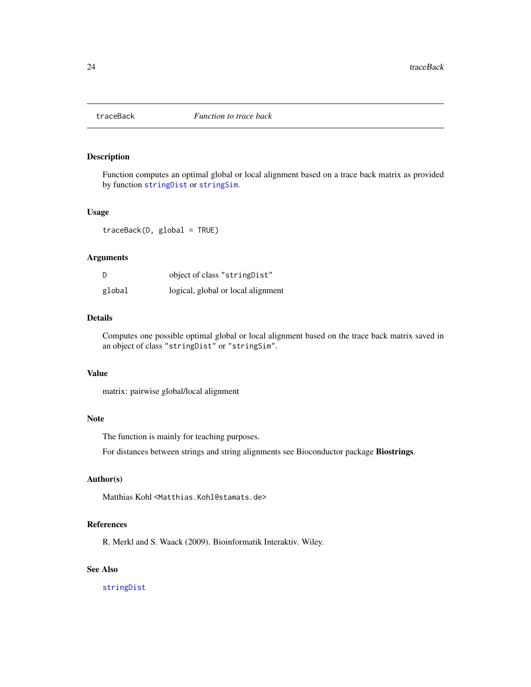<span id="page-23-0"></span>

# Description

Function computes an optimal global or local alignment based on a trace back matrix as provided by function [stringDist](#page-20-1) or [stringSim](#page-21-1).

#### Usage

traceBack(D, global = TRUE)

# Arguments

| D      | object of class "string Dist"      |
|--------|------------------------------------|
| global | logical, global or local alignment |

# Details

Computes one possible optimal global or local alignment based on the trace back matrix saved in an object of class "stringDist" or "stringSim".

### Value

matrix: pairwise global/local alignment

#### Note

The function is mainly for teaching purposes.

For distances between strings and string alignments see Bioconductor package Biostrings.

# Author(s)

Matthias Kohl <Matthias.Kohl@stamats.de>

#### References

R. Merkl and S. Waack (2009). Bioinformatik Interaktiv. Wiley.

# See Also

[stringDist](#page-20-1)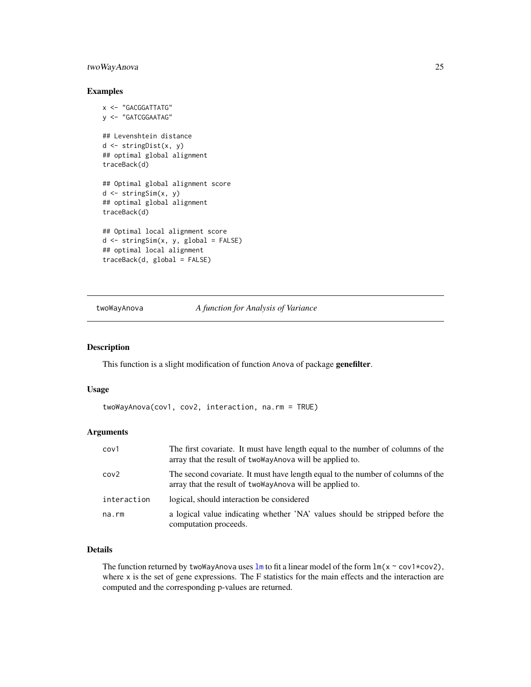# <span id="page-24-0"></span>twoWayAnova 25

#### Examples

```
x <- "GACGGATTATG"
y <- "GATCGGAATAG"
## Levenshtein distance
d <- stringDist(x, y)
## optimal global alignment
traceBack(d)
## Optimal global alignment score
d <- stringSim(x, y)
## optimal global alignment
traceBack(d)
## Optimal local alignment score
d <- stringSim(x, y, global = FALSE)
## optimal local alignment
traceBack(d, global = FALSE)
```
#### <span id="page-24-1"></span>twoWayAnova *A function for Analysis of Variance*

# Description

This function is a slight modification of function Anova of package genefilter.

#### Usage

```
twoWayAnova(cov1, cov2, interaction, na.rm = TRUE)
```
#### Arguments

| cov1             | The first covariate. It must have length equal to the number of columns of the<br>array that the result of two Way Anova will be applied to.  |
|------------------|-----------------------------------------------------------------------------------------------------------------------------------------------|
| cov <sub>2</sub> | The second covariate. It must have length equal to the number of columns of the<br>array that the result of two way Anova will be applied to. |
| interaction      | logical, should interaction be considered                                                                                                     |
| na.rm            | a logical value indicating whether 'NA' values should be stripped before the<br>computation proceeds.                                         |

# Details

The function returned by twoWayAnova uses  $\text{Im}$  to fit a linear model of the form  $\text{Im}(x \sim \text{cov}1 \times \text{cov}2)$ , where x is the set of gene expressions. The F statistics for the main effects and the interaction are computed and the corresponding p-values are returned.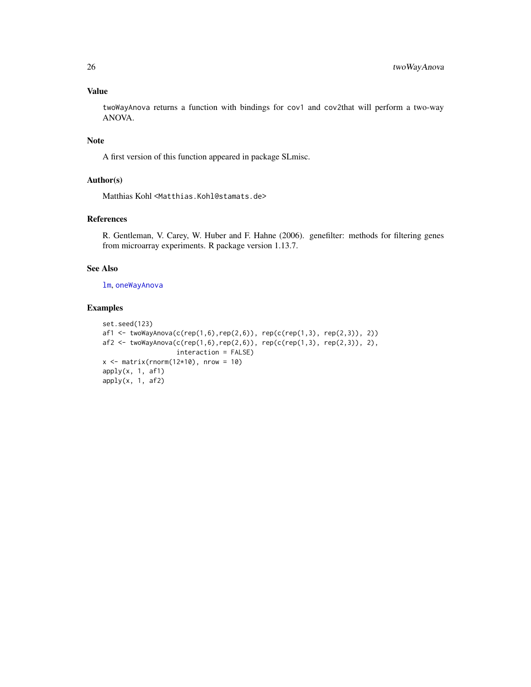# Value

twoWayAnova returns a function with bindings for cov1 and cov2that will perform a two-way ANOVA.

# Note

A first version of this function appeared in package SLmisc.

# Author(s)

Matthias Kohl <Matthias.Kohl@stamats.de>

# References

R. Gentleman, V. Carey, W. Huber and F. Hahne (2006). genefilter: methods for filtering genes from microarray experiments. R package version 1.13.7.

# See Also

[lm](#page-0-0), [oneWayAnova](#page-12-1)

```
set.seed(123)
af1 <- twoWayAnova(c(rep(1,6),rep(2,6)), rep(c(rep(1,3), rep(2,3)), 2))
af2 \leq twoWayAnova(c(rep(1,6),rep(2,6)), rep(c(rep(1,3), rep(2,3)), 2),interaction = FALSE)
x \le - matrix(rnorm(12*10), nrow = 10)
apply(x, 1, af1)
apply(x, 1, af2)
```
<span id="page-25-0"></span>